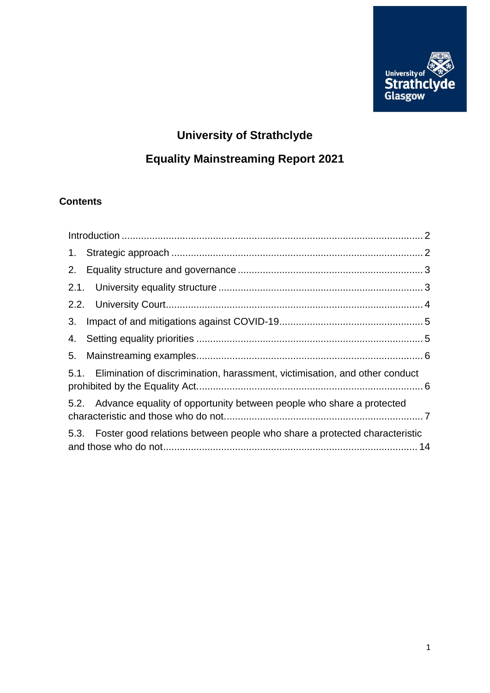

# **University of Strathclyde**

# **Equality Mainstreaming Report 2021**

# **Contents**

| 5.1. Elimination of discrimination, harassment, victimisation, and other conduct |  |
|----------------------------------------------------------------------------------|--|
| 5.2. Advance equality of opportunity between people who share a protected        |  |
| 5.3. Foster good relations between people who share a protected characteristic   |  |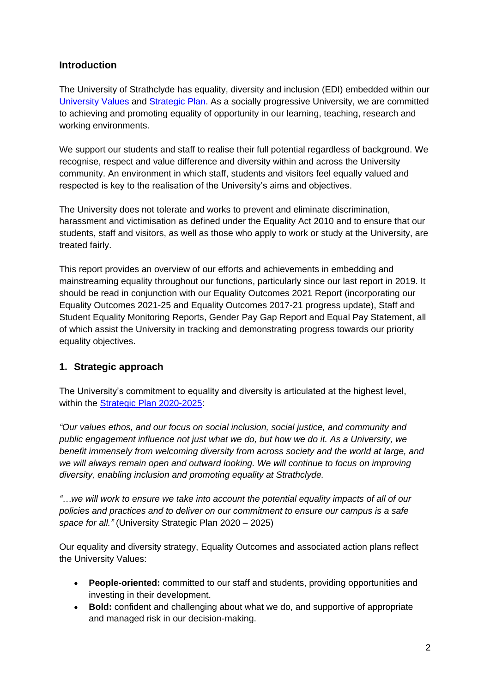## <span id="page-1-0"></span>**Introduction**

The University of Strathclyde has equality, diversity and inclusion (EDI) embedded within our [University Values](https://www.strath.ac.uk/whystrathclyde/values/) and [Strategic Plan.](https://www.strath.ac.uk/whystrathclyde/strategicplan/) As a socially progressive University, we are committed to achieving and promoting equality of opportunity in our learning, teaching, research and working environments.

We support our students and staff to realise their full potential regardless of background. We recognise, respect and value difference and diversity within and across the University community. An environment in which staff, students and visitors feel equally valued and respected is key to the realisation of the University's aims and objectives.

The University does not tolerate and works to prevent and eliminate discrimination, harassment and victimisation as defined under the Equality Act 2010 and to ensure that our students, staff and visitors, as well as those who apply to work or study at the University, are treated fairly.

This report provides an overview of our efforts and achievements in embedding and mainstreaming equality throughout our functions, particularly since our last report in 2019. It should be read in conjunction with our Equality Outcomes 2021 Report (incorporating our Equality Outcomes 2021-25 and Equality Outcomes 2017-21 progress update), Staff and Student Equality Monitoring Reports, Gender Pay Gap Report and Equal Pay Statement, all of which assist the University in tracking and demonstrating progress towards our priority equality objectives.

## <span id="page-1-1"></span>**1. Strategic approach**

The University's commitment to equality and diversity is articulated at the highest level, within the [Strategic Plan 2020-2025:](https://www.strath.ac.uk/whystrathclyde/strategicplan/)

*"Our values ethos, and our focus on social inclusion, social justice, and community and public engagement influence not just what we do, but how we do it. As a University, we benefit immensely from welcoming diversity from across society and the world at large, and we will always remain open and outward looking. We will continue to focus on improving diversity, enabling inclusion and promoting equality at Strathclyde.*

*"…we will work to ensure we take into account the potential equality impacts of all of our policies and practices and to deliver on our commitment to ensure our campus is a safe space for all."* (University Strategic Plan 2020 – 2025)

Our equality and diversity strategy, Equality Outcomes and associated action plans reflect the University Values:

- **People-oriented:** committed to our staff and students, providing opportunities and investing in their development.
- **Bold:** confident and challenging about what we do, and supportive of appropriate and managed risk in our decision-making.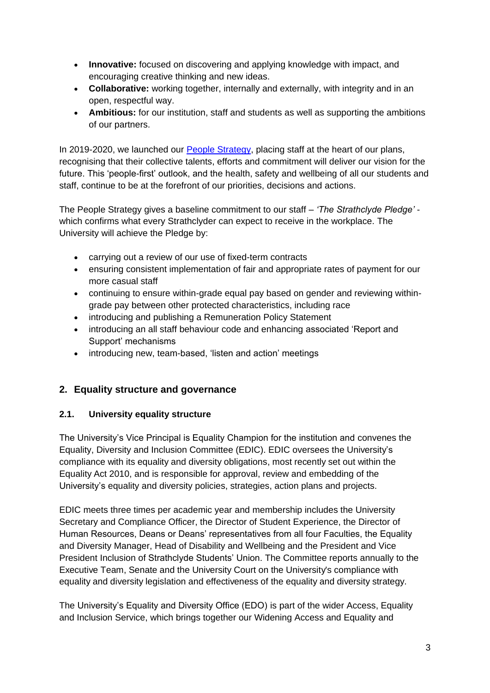- **Innovative:** focused on discovering and applying knowledge with impact, and encouraging creative thinking and new ideas.
- **Collaborative:** working together, internally and externally, with integrity and in an open, respectful way.
- **Ambitious:** for our institution, staff and students as well as supporting the ambitions of our partners.

In 2019-2020, we launched our [People Strategy,](https://www.strath.ac.uk/whystrathclyde/peoplestrategy/) placing staff at the heart of our plans, recognising that their collective talents, efforts and commitment will deliver our vision for the future. This 'people-first' outlook, and the health, safety and wellbeing of all our students and staff, continue to be at the forefront of our priorities, decisions and actions.

The People Strategy gives a baseline commitment to our staff – *'The Strathclyde Pledge'* which confirms what every Strathclyder can expect to receive in the workplace. The University will achieve the Pledge by:

- carrying out a review of our use of fixed-term contracts
- ensuring consistent implementation of fair and appropriate rates of payment for our more casual staff
- continuing to ensure within-grade equal pay based on gender and reviewing withingrade pay between other protected characteristics, including race
- introducing and publishing a Remuneration Policy Statement
- introducing an all staff behaviour code and enhancing associated 'Report and Support' mechanisms
- introducing new, team-based, 'listen and action' meetings

## <span id="page-2-0"></span>**2. Equality structure and governance**

## <span id="page-2-1"></span>**2.1. University equality structure**

The University's Vice Principal is Equality Champion for the institution and convenes the Equality, Diversity and Inclusion Committee (EDIC). EDIC oversees the University's compliance with its equality and diversity obligations, most recently set out within the Equality Act 2010, and is responsible for approval, review and embedding of the University's equality and diversity policies, strategies, action plans and projects.

EDIC meets three times per academic year and membership includes the University Secretary and Compliance Officer, the Director of Student Experience, the Director of Human Resources, Deans or Deans' representatives from all four Faculties, the Equality and Diversity Manager, Head of Disability and Wellbeing and the President and Vice President Inclusion of Strathclyde Students' Union. The Committee reports annually to the Executive Team, Senate and the University Court on the University's compliance with equality and diversity legislation and effectiveness of the equality and diversity strategy.

The University's Equality and Diversity Office (EDO) is part of the wider Access, Equality and Inclusion Service, which brings together our Widening Access and Equality and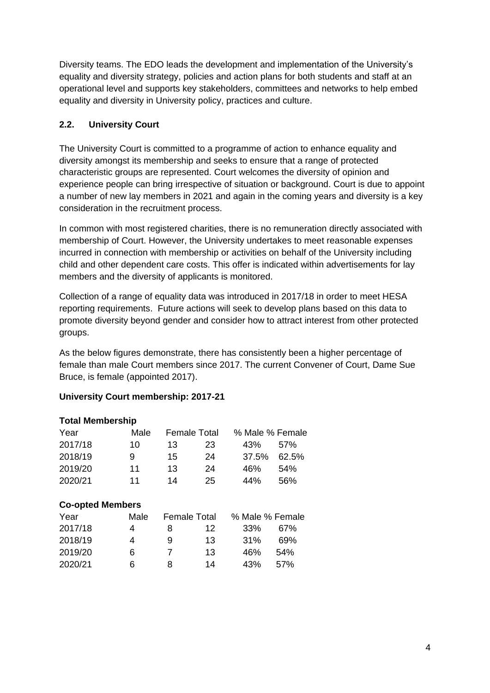Diversity teams. The EDO leads the development and implementation of the University's equality and diversity strategy, policies and action plans for both students and staff at an operational level and supports key stakeholders, committees and networks to help embed equality and diversity in University policy, practices and culture.

## <span id="page-3-0"></span>**2.2. University Court**

The University Court is committed to a programme of action to enhance equality and diversity amongst its membership and seeks to ensure that a range of protected characteristic groups are represented. Court welcomes the diversity of opinion and experience people can bring irrespective of situation or background. Court is due to appoint a number of new lay members in 2021 and again in the coming years and diversity is a key consideration in the recruitment process.

In common with most registered charities, there is no remuneration directly associated with membership of Court. However, the University undertakes to meet reasonable expenses incurred in connection with membership or activities on behalf of the University including child and other dependent care costs. This offer is indicated within advertisements for lay members and the diversity of applicants is monitored.

Collection of a range of equality data was introduced in 2017/18 in order to meet HESA reporting requirements. Future actions will seek to develop plans based on this data to promote diversity beyond gender and consider how to attract interest from other protected groups.

As the below figures demonstrate, there has consistently been a higher percentage of female than male Court members since 2017. The current Convener of Court, Dame Sue Bruce, is female (appointed 2017).

#### **University Court membership: 2017-21**

| <b>Total Membership</b> |      |                     |    |                 |       |  |  |  |  |
|-------------------------|------|---------------------|----|-----------------|-------|--|--|--|--|
| Year                    | Male | <b>Female Total</b> |    | % Male % Female |       |  |  |  |  |
| 2017/18                 | 10   | 13                  | 23 | 43%             | 57%   |  |  |  |  |
| 2018/19                 | 9    | 15                  | 24 | 37.5%           | 62.5% |  |  |  |  |
| 2019/20                 | 11   | 13                  | 24 | 46%             | 54%   |  |  |  |  |
| 2020/21                 | 11   | 14                  | 25 | 44%             | 56%   |  |  |  |  |
|                         |      |                     |    |                 |       |  |  |  |  |
| <b>Co-opted Members</b> |      |                     |    |                 |       |  |  |  |  |

| Year    | Male | <b>Female Total</b> |    | % Male % Female |      |
|---------|------|---------------------|----|-----------------|------|
| 2017/18 | 4    | 8                   | 12 | 33%             | 67%  |
| 2018/19 | 4    | 9                   | 13 | 31%             | 69%  |
| 2019/20 | 6    |                     | 13 | 46%             | 54%  |
| 2020/21 | 6    | 8                   | 14 | 43%             | .57% |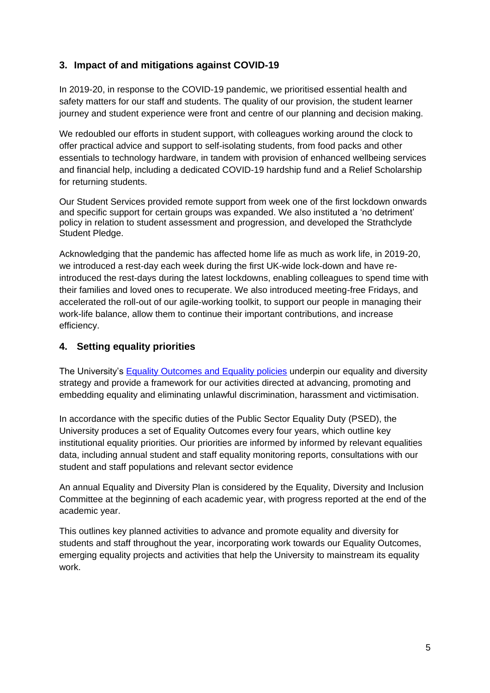# <span id="page-4-0"></span>**3. Impact of and mitigations against COVID-19**

In 2019-20, in response to the COVID-19 pandemic, we prioritised essential health and safety matters for our staff and students. The quality of our provision, the student learner journey and student experience were front and centre of our planning and decision making.

We redoubled our efforts in student support, with colleagues working around the clock to offer practical advice and support to self-isolating students, from food packs and other essentials to technology hardware, in tandem with provision of enhanced wellbeing services and financial help, including a dedicated COVID-19 hardship fund and a Relief Scholarship for returning students.

Our Student Services provided remote support from week one of the first lockdown onwards and specific support for certain groups was expanded. We also instituted a 'no detriment' policy in relation to student assessment and progression, and developed the Strathclyde Student Pledge.

Acknowledging that the pandemic has affected home life as much as work life, in 2019-20, we introduced a rest-day each week during the first UK-wide lock-down and have reintroduced the rest-days during the latest lockdowns, enabling colleagues to spend time with their families and loved ones to recuperate. We also introduced meeting-free Fridays, and accelerated the roll-out of our agile-working toolkit, to support our people in managing their work-life balance, allow them to continue their important contributions, and increase efficiency.

# <span id="page-4-1"></span>**4. Setting equality priorities**

The University's [Equality Outcomes and Equality policies](https://www.strath.ac.uk/equalitydiversity) underpin our equality and diversity strategy and provide a framework for our activities directed at advancing, promoting and embedding equality and eliminating unlawful discrimination, harassment and victimisation.

In accordance with the specific duties of the Public Sector Equality Duty (PSED), the University produces a set of Equality Outcomes every four years, which outline key institutional equality priorities. Our priorities are informed by informed by relevant equalities data, including annual student and staff equality monitoring reports, consultations with our student and staff populations and relevant sector evidence

An annual Equality and Diversity Plan is considered by the Equality, Diversity and Inclusion Committee at the beginning of each academic year, with progress reported at the end of the academic year.

This outlines key planned activities to advance and promote equality and diversity for students and staff throughout the year, incorporating work towards our Equality Outcomes, emerging equality projects and activities that help the University to mainstream its equality work.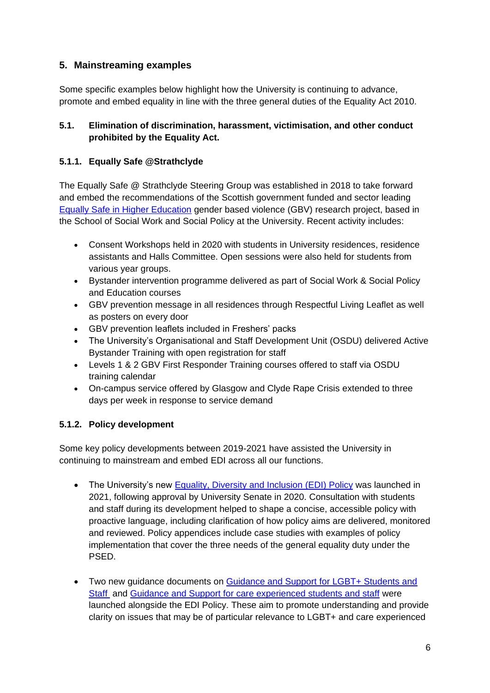# <span id="page-5-0"></span>**5. Mainstreaming examples**

Some specific examples below highlight how the University is continuing to advance, promote and embed equality in line with the three general duties of the Equality Act 2010.

#### <span id="page-5-1"></span>**5.1. Elimination of discrimination, harassment, victimisation, and other conduct prohibited by the Equality Act.**

## **5.1.1. Equally Safe @Strathclyde**

The Equally Safe @ Strathclyde Steering Group was established in 2018 to take forward and embed the recommendations of the Scottish government funded and sector leading [Equally Safe in Higher Education](https://www.strath.ac.uk/humanities/schoolofsocialworksocialpolicy/equallysafeinhighereducation/eshetoolkit/) gender based violence (GBV) research project, based in the School of Social Work and Social Policy at the University. Recent activity includes:

- Consent Workshops held in 2020 with students in University residences, residence assistants and Halls Committee. Open sessions were also held for students from various year groups.
- Bystander intervention programme delivered as part of Social Work & Social Policy and Education courses
- GBV prevention message in all residences through Respectful Living Leaflet as well as posters on every door
- GBV prevention leaflets included in Freshers' packs
- The University's Organisational and Staff Development Unit (OSDU) delivered Active Bystander Training with open registration for staff
- Levels 1 & 2 GBV First Responder Training courses offered to staff via OSDU training calendar
- On-campus service offered by Glasgow and Clyde Rape Crisis extended to three days per week in response to service demand

# **5.1.2. Policy development**

Some key policy developments between 2019-2021 have assisted the University in continuing to mainstream and embed EDI across all our functions.

- The University's new [Equality, Diversity and Inclusion](https://www.strath.ac.uk/whystrathclyde/equalitydiversity/policies/) (EDI) Policy was launched in 2021, following approval by University Senate in 2020. Consultation with students and staff during its development helped to shape a concise, accessible policy with proactive language, including clarification of how policy aims are delivered, monitored and reviewed. Policy appendices include case studies with examples of policy implementation that cover the three needs of the general equality duty under the PSED.
- Two new quidance documents on Guidance and Support for LGBT+ Students and [Staff](https://www.strath.ac.uk/media/ps/sees/equality/LGBT__Guidance_Final_Feb_2021.pdf) and [Guidance and Support for care experienced students and staff](https://www.strath.ac.uk/media/ps/rio/careexperienced/Care_experience_policy_for_staff_and_students.pdf) were launched alongside the EDI Policy. These aim to promote understanding and provide clarity on issues that may be of particular relevance to LGBT+ and care experienced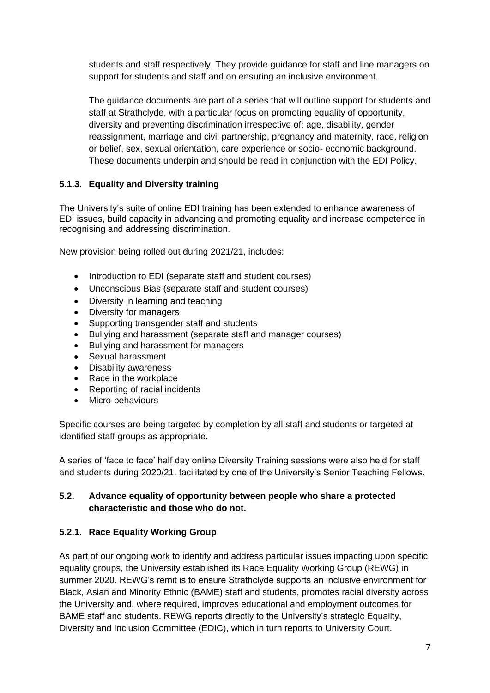students and staff respectively. They provide guidance for staff and line managers on support for students and staff and on ensuring an inclusive environment.

The guidance documents are part of a series that will outline support for students and staff at Strathclyde, with a particular focus on promoting equality of opportunity, diversity and preventing discrimination irrespective of: age, disability, gender reassignment, marriage and civil partnership, pregnancy and maternity, race, religion or belief, sex, sexual orientation, care experience or socio- economic background. These documents underpin and should be read in conjunction with the EDI Policy.

### **5.1.3. Equality and Diversity training**

The University's suite of online EDI training has been extended to enhance awareness of EDI issues, build capacity in advancing and promoting equality and increase competence in recognising and addressing discrimination.

New provision being rolled out during 2021/21, includes:

- Introduction to EDI (separate staff and student courses)
- Unconscious Bias (separate staff and student courses)
- Diversity in learning and teaching
- Diversity for managers
- Supporting transgender staff and students
- Bullying and harassment (separate staff and manager courses)
- Bullying and harassment for managers
- Sexual harassment
- Disability awareness
- Race in the workplace
- Reporting of racial incidents
- Micro-behaviours

Specific courses are being targeted by completion by all staff and students or targeted at identified staff groups as appropriate.

A series of 'face to face' half day online Diversity Training sessions were also held for staff and students during 2020/21, facilitated by one of the University's Senior Teaching Fellows.

#### <span id="page-6-0"></span>**5.2. Advance equality of opportunity between people who share a protected characteristic and those who do not.**

#### **5.2.1. Race Equality Working Group**

As part of our ongoing work to identify and address particular issues impacting upon specific equality groups, the University established its Race Equality Working Group (REWG) in summer 2020. REWG's remit is to ensure Strathclyde supports an inclusive environment for Black, Asian and Minority Ethnic (BAME) staff and students, promotes racial diversity across the University and, where required, improves educational and employment outcomes for BAME staff and students. REWG reports directly to the University's strategic Equality, Diversity and Inclusion Committee (EDIC), which in turn reports to University Court.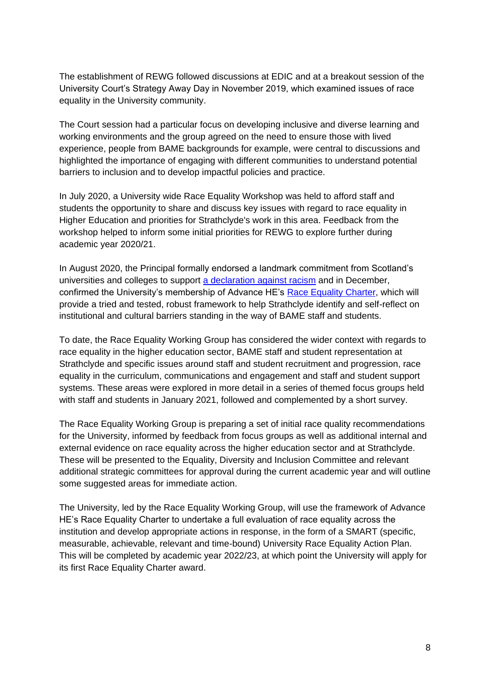The establishment of REWG followed discussions at EDIC and at a breakout session of the University Court's Strategy Away Day in November 2019, which examined issues of race equality in the University community.

The Court session had a particular focus on developing inclusive and diverse learning and working environments and the group agreed on the need to ensure those with lived experience, people from BAME backgrounds for example, were central to discussions and highlighted the importance of engaging with different communities to understand potential barriers to inclusion and to develop impactful policies and practice.

In July 2020, a University wide Race Equality Workshop was held to afford staff and students the opportunity to share and discuss key issues with regard to race equality in Higher Education and priorities for Strathclyde's work in this area. Feedback from the workshop helped to inform some initial priorities for REWG to explore further during academic year 2020/21.

In August 2020, the Principal formally endorsed a landmark commitment from Scotland's universities and colleges to support [a declaration against racism](https://www.advance-he.ac.uk/news-and-views/critical-conversations-critical-action-we-stand-united-against-racism) and in December, confirmed the University's membership of Advance HE's [Race Equality Charter,](https://www.advance-he.ac.uk/equality-charters/race-equality-charter) which will provide a tried and tested, robust framework to help Strathclyde identify and self-reflect on institutional and cultural barriers standing in the way of BAME staff and students.

To date, the Race Equality Working Group has considered the wider context with regards to race equality in the higher education sector, BAME staff and student representation at Strathclyde and specific issues around staff and student recruitment and progression, race equality in the curriculum, communications and engagement and staff and student support systems. These areas were explored in more detail in a series of themed focus groups held with staff and students in January 2021, followed and complemented by a short survey.

The Race Equality Working Group is preparing a set of initial race quality recommendations for the University, informed by feedback from focus groups as well as additional internal and external evidence on race equality across the higher education sector and at Strathclyde. These will be presented to the Equality, Diversity and Inclusion Committee and relevant additional strategic committees for approval during the current academic year and will outline some suggested areas for immediate action.

The University, led by the Race Equality Working Group, will use the framework of Advance HE's Race Equality Charter to undertake a full evaluation of race equality across the institution and develop appropriate actions in response, in the form of a SMART (specific, measurable, achievable, relevant and time-bound) University Race Equality Action Plan. This will be completed by academic year 2022/23, at which point the University will apply for its first Race Equality Charter award.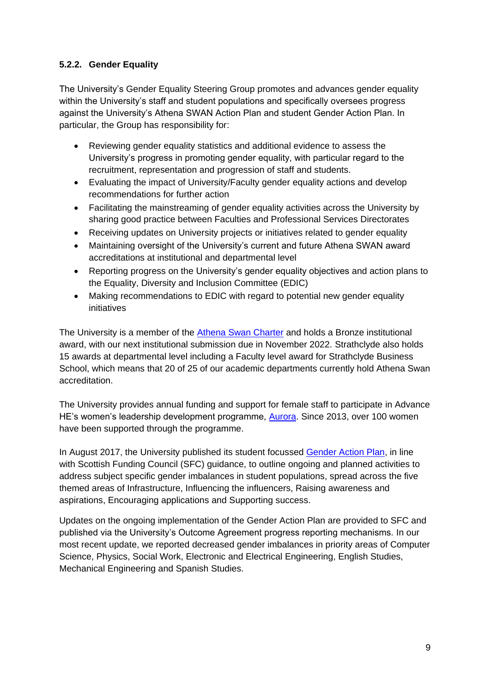## **5.2.2. Gender Equality**

The University's Gender Equality Steering Group promotes and advances gender equality within the University's staff and student populations and specifically oversees progress against the University's Athena SWAN Action Plan and student Gender Action Plan. In particular, the Group has responsibility for:

- Reviewing gender equality statistics and additional evidence to assess the University's progress in promoting gender equality, with particular regard to the recruitment, representation and progression of staff and students.
- Evaluating the impact of University/Faculty gender equality actions and develop recommendations for further action
- Facilitating the mainstreaming of gender equality activities across the University by sharing good practice between Faculties and Professional Services Directorates
- Receiving updates on University projects or initiatives related to gender equality
- Maintaining oversight of the University's current and future Athena SWAN award accreditations at institutional and departmental level
- Reporting progress on the University's gender equality objectives and action plans to the Equality, Diversity and Inclusion Committee (EDIC)
- Making recommendations to EDIC with regard to potential new gender equality initiatives

The University is a member of the [Athena Swan Charter](https://www.advance-he.ac.uk/equality-charters/athena-swan-charter/transformation/draft-award-criteria-and-underpinning-expectations) and holds a Bronze institutional award, with our next institutional submission due in November 2022. Strathclyde also holds 15 awards at departmental level including a Faculty level award for Strathclyde Business School, which means that 20 of 25 of our academic departments currently hold Athena Swan accreditation.

The University provides annual funding and support for female staff to participate in Advance HE's women's leadership development programme, [Aurora.](https://www.advance-he.ac.uk/programmes-events/aurora) Since 2013, over 100 women have been supported through the programme.

In August 2017, the University published its student focussed [Gender Action Plan,](https://www.strath.ac.uk/media/ps/sees/equality/Gender_Action_Plan.pdf) in line with Scottish Funding Council (SFC) guidance, to outline ongoing and planned activities to address subject specific gender imbalances in student populations, spread across the five themed areas of Infrastructure, Influencing the influencers, Raising awareness and aspirations, Encouraging applications and Supporting success.

Updates on the ongoing implementation of the Gender Action Plan are provided to SFC and published via the University's Outcome Agreement progress reporting mechanisms. In our most recent update, we reported decreased gender imbalances in priority areas of Computer Science, Physics, Social Work, Electronic and Electrical Engineering, English Studies, Mechanical Engineering and Spanish Studies.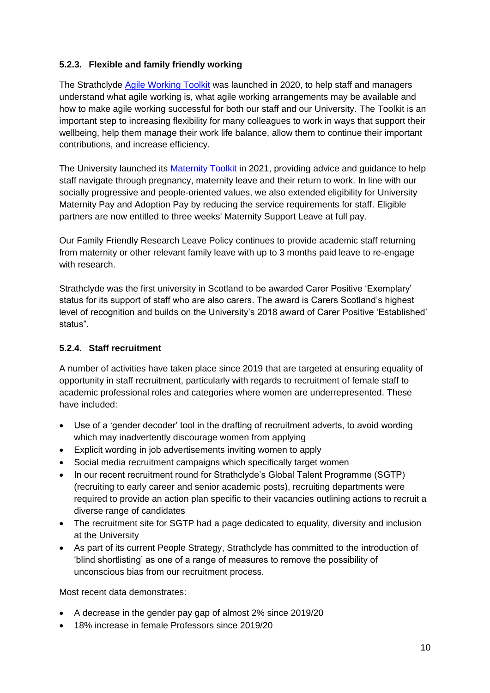#### **5.2.3. Flexible and family friendly working**

The Strathclyde [Agile Working Toolkit](https://www.strath.ac.uk/whystrathclyde/peoplestrategy/agileworking/) was launched in 2020, to help staff and managers understand what agile working is, what agile working arrangements may be available and how to make agile working successful for both our staff and our University. The Toolkit is an important step to increasing flexibility for many colleagues to work in ways that support their wellbeing, help them manage their work life balance, allow them to continue their important contributions, and increase efficiency.

The University launched its [Maternity Toolkit](https://www.strath.ac.uk/professionalservices/hr/policiesandprocedures/maternitytoolkit/) in 2021, providing advice and guidance to help staff navigate through pregnancy, maternity leave and their return to work. In line with our socially progressive and people-oriented values, we also extended eligibility for University Maternity Pay and Adoption Pay by reducing the service requirements for staff. Eligible partners are now entitled to three weeks' Maternity Support Leave at full pay.

Our Family Friendly Research Leave Policy continues to provide academic staff returning from maternity or other relevant family leave with up to 3 months paid leave to re-engage with research.

Strathclyde was the first university in Scotland to be awarded Carer Positive 'Exemplary' status for its support of staff who are also carers. The award is Carers Scotland's highest level of recognition and builds on the University's 2018 award of Carer Positive 'Established' status".

#### **5.2.4. Staff recruitment**

A number of activities have taken place since 2019 that are targeted at ensuring equality of opportunity in staff recruitment, particularly with regards to recruitment of female staff to academic professional roles and categories where women are underrepresented. These have included:

- Use of a 'gender decoder' tool in the drafting of recruitment adverts, to avoid wording which may inadvertently discourage women from applying
- Explicit wording in job advertisements inviting women to apply
- Social media recruitment campaigns which specifically target women
- In our recent recruitment round for Strathclyde's Global Talent Programme (SGTP) (recruiting to early career and senior academic posts), recruiting departments were required to provide an action plan specific to their vacancies outlining actions to recruit a diverse range of candidates
- The recruitment site for SGTP had a page dedicated to equality, diversity and inclusion at the University
- As part of its current People Strategy, Strathclyde has committed to the introduction of 'blind shortlisting' as one of a range of measures to remove the possibility of unconscious bias from our recruitment process.

Most recent data demonstrates:

- A decrease in the gender pay gap of almost 2% since 2019/20
- 18% increase in female Professors since 2019/20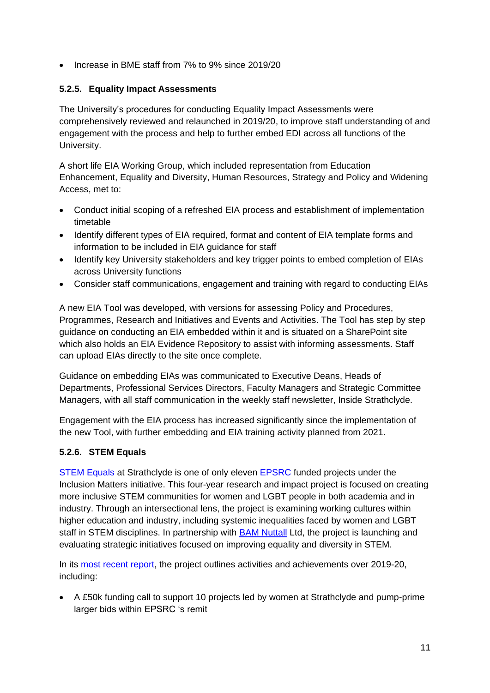• Increase in BME staff from 7% to 9% since 2019/20

## **5.2.5. Equality Impact Assessments**

The University's procedures for conducting Equality Impact Assessments were comprehensively reviewed and relaunched in 2019/20, to improve staff understanding of and engagement with the process and help to further embed EDI across all functions of the University.

A short life EIA Working Group, which included representation from Education Enhancement, Equality and Diversity, Human Resources, Strategy and Policy and Widening Access, met to:

- Conduct initial scoping of a refreshed EIA process and establishment of implementation timetable
- Identify different types of EIA required, format and content of EIA template forms and information to be included in EIA guidance for staff
- Identify key University stakeholders and key trigger points to embed completion of EIAs across University functions
- Consider staff communications, engagement and training with regard to conducting EIAs

A new EIA Tool was developed, with versions for assessing Policy and Procedures, Programmes, Research and Initiatives and Events and Activities. The Tool has step by step guidance on conducting an EIA embedded within it and is situated on a SharePoint site which also holds an EIA Evidence Repository to assist with informing assessments. Staff can upload EIAs directly to the site once complete.

Guidance on embedding EIAs was communicated to Executive Deans, Heads of Departments, Professional Services Directors, Faculty Managers and Strategic Committee Managers, with all staff communication in the weekly staff newsletter, Inside Strathclyde.

Engagement with the EIA process has increased significantly since the implementation of the new Tool, with further embedding and EIA training activity planned from 2021.

#### **5.2.6. STEM Equals**

[STEM Equals](https://www.stemequals.ac.uk/) at Strathclyde is one of only eleven [EPSRC](https://epsrc.ukri.org/newsevents/news/inclusionmatters/) funded projects under the Inclusion Matters initiative. This four-year research and impact project is focused on creating more inclusive STEM communities for women and LGBT people in both academia and in industry. Through an intersectional lens, the project is examining working cultures within higher education and industry, including systemic inequalities faced by women and LGBT staff in STEM disciplines. In partnership with [BAM Nuttall](http://www.bamnuttall.co.uk/) Ltd, the project is launching and evaluating strategic initiatives focused on improving equality and diversity in STEM.

In its [most recent report,](https://www.stemequals.ac.uk/Portals/6/Documents/Reports/STEM%20Equals%20First%20Year%20Report_LowRes.pdf?ver=Kk7fFU_jorKMa0sh40hhxg%3d%3d) the project outlines activities and achievements over 2019-20, including:

• A £50k funding call to support 10 projects led by women at Strathclyde and pump-prime larger bids within EPSRC 's remit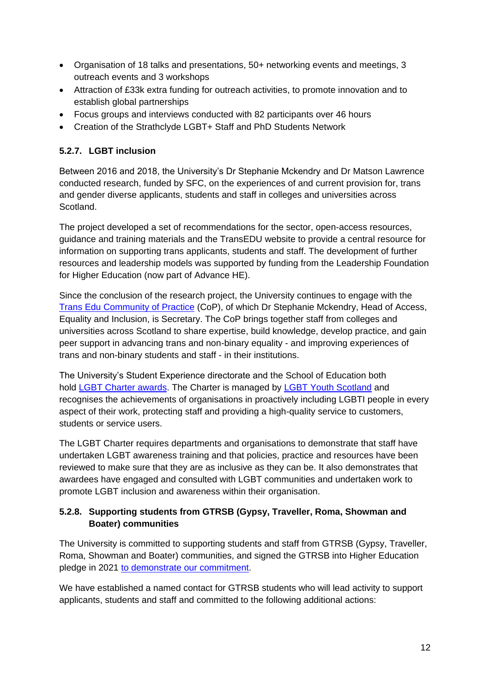- Organisation of 18 talks and presentations, 50+ networking events and meetings, 3 outreach events and 3 workshops
- Attraction of £33k extra funding for outreach activities, to promote innovation and to establish global partnerships
- Focus groups and interviews conducted with 82 participants over 46 hours
- Creation of the Strathclyde LGBT+ Staff and PhD Students Network

### **5.2.7. LGBT inclusion**

Between 2016 and 2018, the University's Dr Stephanie Mckendry and Dr Matson Lawrence conducted research, funded by SFC, on the experiences of and current provision for, trans and gender diverse applicants, students and staff in colleges and universities across Scotland.

The project developed a set of recommendations for the sector, open-access resources, guidance and training materials and the TransEDU website to provide a central resource for information on supporting trans applicants, students and staff. The development of further resources and leadership models was supported by funding from the Leadership Foundation for Higher Education (now part of Advance HE).

Since the conclusion of the research project, the University continues to engage with the [Trans Edu Community of Practice](https://www.trans.ac.uk/ResourcesInformation/CommunityofPractice/tabid/7259/Default.aspx) (CoP), of which Dr Stephanie Mckendry, Head of Access, Equality and Inclusion, is Secretary. The CoP brings together staff from colleges and universities across Scotland to share expertise, build knowledge, develop practice, and gain peer support in advancing trans and non-binary equality - and improving experiences of trans and non-binary students and staff - in their institutions.

The University's Student Experience directorate and the School of Education both hold [LGBT Charter awards.](https://www.lgbtyouth.org.uk/lgbt-charter/) The Charter is managed by [LGBT Youth Scotland](https://www.lgbtyouth.org.uk/) and recognises the achievements of organisations in proactively including LGBTI people in every aspect of their work, protecting staff and providing a high-quality service to customers, students or service users.

The LGBT Charter requires departments and organisations to demonstrate that staff have undertaken LGBT awareness training and that policies, practice and resources have been reviewed to make sure that they are as inclusive as they can be. It also demonstrates that awardees have engaged and consulted with LGBT communities and undertaken work to promote LGBT inclusion and awareness within their organisation.

### **5.2.8. Supporting students from GTRSB (Gypsy, Traveller, Roma, Showman and Boater) communities**

The University is committed to supporting students and staff from GTRSB (Gypsy, Traveller, Roma, Showman and Boater) communities, and signed the GTRSB into Higher Education pledge in 2021 to demonstrate [our commitment.](https://universityofstrathclyde.newsweaver.com/cvg4pnmkid/cia449fx2u712ky28ya46u/external?email=true&a=5&p=58715544&t=31139368)

We have established a named contact for GTRSB students who will lead activity to support applicants, students and staff and committed to the following additional actions: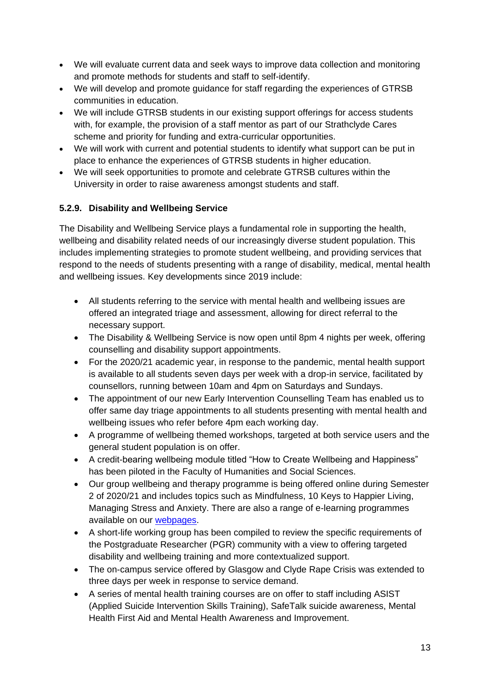- We will evaluate current data and seek ways to improve data collection and monitoring and promote methods for students and staff to self-identify.
- We will develop and promote guidance for staff regarding the experiences of GTRSB communities in education.
- We will include GTRSB students in our existing support offerings for access students with, for example, the provision of a staff mentor as part of our Strathclyde Cares scheme and priority for funding and extra-curricular opportunities.
- We will work with current and potential students to identify what support can be put in place to enhance the experiences of GTRSB students in higher education.
- We will seek opportunities to promote and celebrate GTRSB cultures within the University in order to raise awareness amongst students and staff.

## **5.2.9. Disability and Wellbeing Service**

The Disability and Wellbeing Service plays a fundamental role in supporting the health, wellbeing and disability related needs of our increasingly diverse student population. This includes implementing strategies to promote student wellbeing, and providing services that respond to the needs of students presenting with a range of disability, medical, mental health and wellbeing issues. Key developments since 2019 include:

- All students referring to the service with mental health and wellbeing issues are offered an integrated triage and assessment, allowing for direct referral to the necessary support.
- The Disability & Wellbeing Service is now open until 8pm 4 nights per week, offering counselling and disability support appointments.
- For the 2020/21 academic year, in response to the pandemic, mental health support is available to all students seven days per week with a drop-in service, facilitated by counsellors, running between 10am and 4pm on Saturdays and Sundays.
- The appointment of our new Early Intervention Counselling Team has enabled us to offer same day triage appointments to all students presenting with mental health and wellbeing issues who refer before 4pm each working day.
- A programme of wellbeing themed workshops, targeted at both service users and the general student population is on offer.
- A credit-bearing wellbeing module titled "How to Create Wellbeing and Happiness" has been piloted in the Faculty of Humanities and Social Sciences.
- Our group wellbeing and therapy programme is being offered online during Semester 2 of 2020/21 and includes topics such as Mindfulness, 10 Keys to Happier Living, Managing Stress and Anxiety. There are also a range of e-learning programmes available on our [webpages.](https://www.strath.ac.uk/professionalservices/disabilityandwellbeing/mentalhealthwellbeingsupport/bookablewellbeingprogrammesandtraining/)
- A short-life working group has been compiled to review the specific requirements of the Postgraduate Researcher (PGR) community with a view to offering targeted disability and wellbeing training and more contextualized support.
- The on-campus service offered by Glasgow and Clyde Rape Crisis was extended to three days per week in response to service demand.
- A series of mental health training courses are on offer to staff including ASIST (Applied Suicide Intervention Skills Training), SafeTalk suicide awareness, Mental Health First Aid and Mental Health Awareness and Improvement.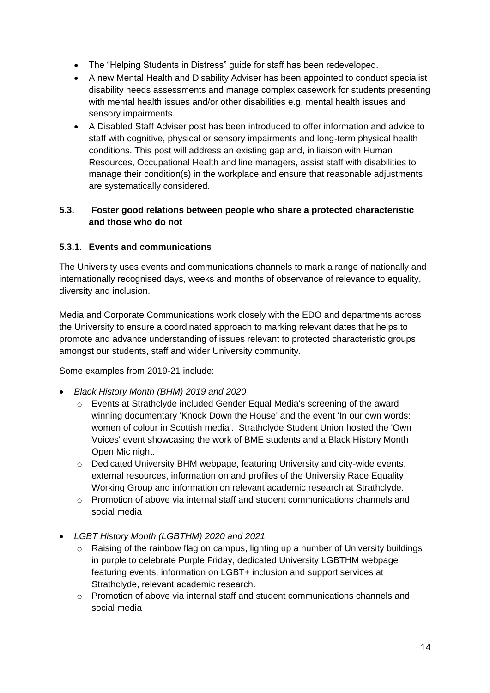- The "Helping Students in Distress" guide for staff has been redeveloped.
- A new Mental Health and Disability Adviser has been appointed to conduct specialist disability needs assessments and manage complex casework for students presenting with mental health issues and/or other disabilities e.g. mental health issues and sensory impairments.
- A Disabled Staff Adviser post has been introduced to offer information and advice to staff with cognitive, physical or sensory impairments and long-term physical health conditions. This post will address an existing gap and, in liaison with Human Resources, Occupational Health and line managers, assist staff with disabilities to manage their condition(s) in the workplace and ensure that reasonable adjustments are systematically considered.

#### <span id="page-13-0"></span>**5.3. Foster good relations between people who share a protected characteristic and those who do not**

### **5.3.1. Events and communications**

The University uses events and communications channels to mark a range of nationally and internationally recognised days, weeks and months of observance of relevance to equality, diversity and inclusion.

Media and Corporate Communications work closely with the EDO and departments across the University to ensure a coordinated approach to marking relevant dates that helps to promote and advance understanding of issues relevant to protected characteristic groups amongst our students, staff and wider University community.

Some examples from 2019-21 include:

- *Black History Month (BHM) 2019 and 2020*
	- o Events at Strathclyde included Gender Equal Media's screening of the award winning documentary 'Knock Down the House' and the event 'In our own words: women of colour in Scottish media'. Strathclyde Student Union hosted the 'Own Voices' event showcasing the work of BME students and a Black History Month Open Mic night.
	- $\circ$  Dedicated University BHM webpage, featuring University and city-wide events, external resources, information on and profiles of the University Race Equality Working Group and information on relevant academic research at Strathclyde.
	- o Promotion of above via internal staff and student communications channels and social media
- *LGBT History Month (LGBTHM) 2020 and 2021*
	- o Raising of the rainbow flag on campus, lighting up a number of University buildings in purple to celebrate Purple Friday, dedicated University LGBTHM webpage featuring events, information on LGBT+ inclusion and support services at Strathclyde, relevant academic research.
	- $\circ$  Promotion of above via internal staff and student communications channels and social media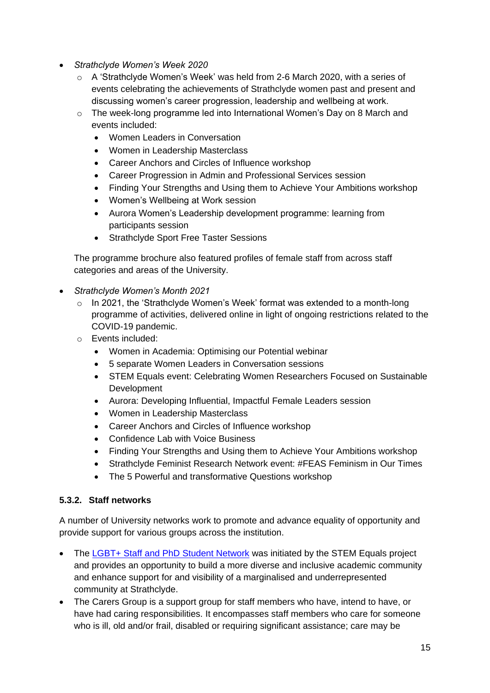- *Strathclyde Women's Week 2020*
	- o A 'Strathclyde Women's Week' was held from 2-6 March 2020, with a series of events celebrating the achievements of Strathclyde women past and present and discussing women's career progression, leadership and wellbeing at work.
	- o The week-long programme led into International Women's Day on 8 March and events included:
		- Women Leaders in Conversation
		- Women in Leadership Masterclass
		- Career Anchors and Circles of Influence workshop
		- Career Progression in Admin and Professional Services session
		- Finding Your Strengths and Using them to Achieve Your Ambitions workshop
		- Women's Wellbeing at Work session
		- Aurora Women's Leadership development programme: learning from participants session
		- Strathclyde Sport Free Taster Sessions

The programme brochure also featured profiles of female staff from across staff categories and areas of the University.

- *Strathclyde Women's Month 2021*
	- $\circ$  In 2021, the 'Strathclyde Women's Week' format was extended to a month-long programme of activities, delivered online in light of ongoing restrictions related to the COVID-19 pandemic.
	- o Events included:
		- Women in Academia: Optimising our Potential webinar
		- 5 separate Women Leaders in Conversation sessions
		- STEM Equals event: Celebrating Women Researchers Focused on Sustainable Development
		- Aurora: Developing Influential, Impactful Female Leaders session
		- Women in Leadership Masterclass
		- Career Anchors and Circles of Influence workshop
		- Confidence Lab with Voice Business
		- Finding Your Strengths and Using them to Achieve Your Ambitions workshop
		- Strathclyde Feminist Research Network event: #FEAS Feminism in Our Times
		- The 5 Powerful and transformative Questions workshop

#### **5.3.2. Staff networks**

A number of University networks work to promote and advance equality of opportunity and provide support for various groups across the institution.

- The [LGBT+ Staff and PhD Student Network](https://www.stemequals.ac.uk/Initiatives/Strathclyde-LGBT-Network) was initiated by the STEM Equals project and provides an opportunity to build a more diverse and inclusive academic community and enhance support for and visibility of a marginalised and underrepresented community at Strathclyde.
- The Carers Group is a support group for staff members who have, intend to have, or have had caring responsibilities. It encompasses staff members who care for someone who is ill, old and/or frail, disabled or requiring significant assistance; care may be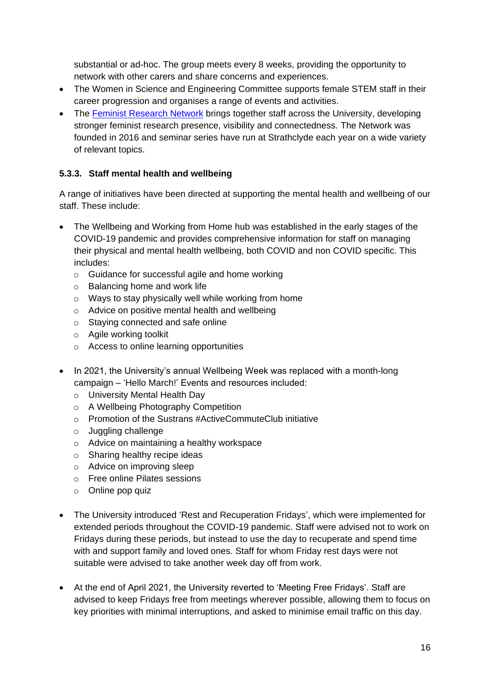substantial or ad-hoc. The group meets every 8 weeks, providing the opportunity to network with other carers and share concerns and experiences.

- The Women in Science and Engineering Committee supports female STEM staff in their career progression and organises a range of events and activities.
- The [Feminist Research Network](http://sufeministnetwork.blogspot.com/p/front-page.html) brings together staff across the University, developing stronger feminist research presence, visibility and connectedness. The Network was founded in 2016 and seminar series have run at Strathclyde each year on a wide variety of relevant topics.

## **5.3.3. Staff mental health and wellbeing**

A range of initiatives have been directed at supporting the mental health and wellbeing of our staff. These include:

- The Wellbeing and Working from Home hub was established in the early stages of the COVID-19 pandemic and provides comprehensive information for staff on managing their physical and mental health wellbeing, both COVID and non COVID specific. This includes:
	- o Guidance for successful agile and home working
	- o Balancing home and work life
	- o Ways to stay physically well while working from home
	- o Advice on positive mental health and wellbeing
	- o Staying connected and safe online
	- o Agile working toolkit
	- o Access to online learning opportunities
- In 2021, the University's annual Wellbeing Week was replaced with a month-long campaign – 'Hello March!' Events and resources included:
	- o University Mental Health Day
	- o A Wellbeing Photography Competition
	- o Promotion of the Sustrans #ActiveCommuteClub initiative
	- o Juggling challenge
	- o Advice on maintaining a healthy workspace
	- o Sharing healthy recipe ideas
	- o Advice on improving sleep
	- o Free online Pilates sessions
	- o Online pop quiz
- The University introduced 'Rest and Recuperation Fridays', which were implemented for extended periods throughout the COVID-19 pandemic. Staff were advised not to work on Fridays during these periods, but instead to use the day to recuperate and spend time with and support family and loved ones. Staff for whom Friday rest days were not suitable were advised to take another week day off from work.
- At the end of April 2021, the University reverted to 'Meeting Free Fridays'. Staff are advised to keep Fridays free from meetings wherever possible, allowing them to focus on key priorities with minimal interruptions, and asked to minimise email traffic on this day.